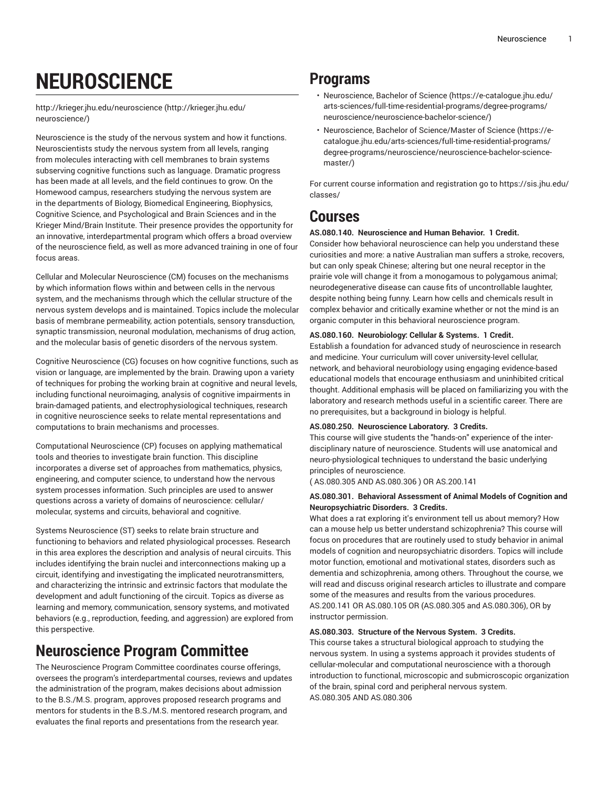# **NEUROSCIENCE**

[http://krieger.jhu.edu/neuroscience](http://krieger.jhu.edu/neuroscience/) [\(http://krieger.jhu.edu/](http://krieger.jhu.edu/neuroscience/) [neuroscience/](http://krieger.jhu.edu/neuroscience/))

Neuroscience is the study of the nervous system and how it functions. Neuroscientists study the nervous system from all levels, ranging from molecules interacting with cell membranes to brain systems subserving cognitive functions such as language. Dramatic progress has been made at all levels, and the field continues to grow. On the Homewood campus, researchers studying the nervous system are in the departments of Biology, Biomedical Engineering, Biophysics, Cognitive Science, and Psychological and Brain Sciences and in the Krieger Mind/Brain Institute. Their presence provides the opportunity for an innovative, interdepartmental program which offers a broad overview of the neuroscience field, as well as more advanced training in one of four focus areas.

Cellular and Molecular Neuroscience (CM) focuses on the mechanisms by which information flows within and between cells in the nervous system, and the mechanisms through which the cellular structure of the nervous system develops and is maintained. Topics include the molecular basis of membrane permeability, action potentials, sensory transduction, synaptic transmission, neuronal modulation, mechanisms of drug action, and the molecular basis of genetic disorders of the nervous system.

Cognitive Neuroscience (CG) focuses on how cognitive functions, such as vision or language, are implemented by the brain. Drawing upon a variety of techniques for probing the working brain at cognitive and neural levels, including functional neuroimaging, analysis of cognitive impairments in brain-damaged patients, and electrophysiological techniques, research in cognitive neuroscience seeks to relate mental representations and computations to brain mechanisms and processes.

Computational Neuroscience (CP) focuses on applying mathematical tools and theories to investigate brain function. This discipline incorporates a diverse set of approaches from mathematics, physics, engineering, and computer science, to understand how the nervous system processes information. Such principles are used to answer questions across a variety of domains of neuroscience: cellular/ molecular, systems and circuits, behavioral and cognitive.

Systems Neuroscience (ST) seeks to relate brain structure and functioning to behaviors and related physiological processes. Research in this area explores the description and analysis of neural circuits. This includes identifying the brain nuclei and interconnections making up a circuit, identifying and investigating the implicated neurotransmitters, and characterizing the intrinsic and extrinsic factors that modulate the development and adult functioning of the circuit. Topics as diverse as learning and memory, communication, sensory systems, and motivated behaviors (e.g., reproduction, feeding, and aggression) are explored from this perspective.

# **Neuroscience Program Committee**

The Neuroscience Program Committee coordinates course offerings, oversees the program's interdepartmental courses, reviews and updates the administration of the program, makes decisions about admission to the B.S./M.S. program, approves proposed research programs and mentors for students in the B.S./M.S. mentored research program, and evaluates the final reports and presentations from the research year.

# **Programs**

- [Neuroscience,](https://e-catalogue.jhu.edu/arts-sciences/full-time-residential-programs/degree-programs/neuroscience/neuroscience-bachelor-science/) Bachelor of Science [\(https://e-catalogue.jhu.edu/](https://e-catalogue.jhu.edu/arts-sciences/full-time-residential-programs/degree-programs/neuroscience/neuroscience-bachelor-science/) [arts-sciences/full-time-residential-programs/degree-programs/](https://e-catalogue.jhu.edu/arts-sciences/full-time-residential-programs/degree-programs/neuroscience/neuroscience-bachelor-science/) [neuroscience/neuroscience-bachelor-science/\)](https://e-catalogue.jhu.edu/arts-sciences/full-time-residential-programs/degree-programs/neuroscience/neuroscience-bachelor-science/)
- Neuroscience, Bachelor of [Science/Master](https://e-catalogue.jhu.edu/arts-sciences/full-time-residential-programs/degree-programs/neuroscience/neuroscience-bachelor-science-master/) of Science ([https://e](https://e-catalogue.jhu.edu/arts-sciences/full-time-residential-programs/degree-programs/neuroscience/neuroscience-bachelor-science-master/)[catalogue.jhu.edu/arts-sciences/full-time-residential-programs/](https://e-catalogue.jhu.edu/arts-sciences/full-time-residential-programs/degree-programs/neuroscience/neuroscience-bachelor-science-master/) [degree-programs/neuroscience/neuroscience-bachelor-science](https://e-catalogue.jhu.edu/arts-sciences/full-time-residential-programs/degree-programs/neuroscience/neuroscience-bachelor-science-master/)[master/](https://e-catalogue.jhu.edu/arts-sciences/full-time-residential-programs/degree-programs/neuroscience/neuroscience-bachelor-science-master/))

For current course information and registration go to [https://sis.jhu.edu/](https://sis.jhu.edu/classes/) [classes/](https://sis.jhu.edu/classes/)

# **Courses**

# **AS.080.140. Neuroscience and Human Behavior. 1 Credit.**

Consider how behavioral neuroscience can help you understand these curiosities and more: a native Australian man suffers a stroke, recovers, but can only speak Chinese; altering but one neural receptor in the prairie vole will change it from a monogamous to polygamous animal; neurodegenerative disease can cause fits of uncontrollable laughter, despite nothing being funny. Learn how cells and chemicals result in complex behavior and critically examine whether or not the mind is an organic computer in this behavioral neuroscience program.

# **AS.080.160. Neurobiology: Cellular & Systems. 1 Credit.**

Establish a foundation for advanced study of neuroscience in research and medicine. Your curriculum will cover university-level cellular, network, and behavioral neurobiology using engaging evidence-based educational models that encourage enthusiasm and uninhibited critical thought. Additional emphasis will be placed on familiarizing you with the laboratory and research methods useful in a scientific career. There are no prerequisites, but a background in biology is helpful.

# **AS.080.250. Neuroscience Laboratory. 3 Credits.**

This course will give students the "hands-on" experience of the interdisciplinary nature of neuroscience. Students will use anatomical and neuro-physiological techniques to understand the basic underlying principles of neuroscience.

( AS.080.305 AND AS.080.306 ) OR AS.200.141

# **AS.080.301. Behavioral Assessment of Animal Models of Cognition and Neuropsychiatric Disorders. 3 Credits.**

What does a rat exploring it's environment tell us about memory? How can a mouse help us better understand schizophrenia? This course will focus on procedures that are routinely used to study behavior in animal models of cognition and neuropsychiatric disorders. Topics will include motor function, emotional and motivational states, disorders such as dementia and schizophrenia, among others. Throughout the course, we will read and discuss original research articles to illustrate and compare some of the measures and results from the various procedures. AS.200.141 OR AS.080.105 OR (AS.080.305 and AS.080.306), OR by instructor permission.

# **AS.080.303. Structure of the Nervous System. 3 Credits.**

This course takes a structural biological approach to studying the nervous system. In using a systems approach it provides students of cellular-molecular and computational neuroscience with a thorough introduction to functional, microscopic and submicroscopic organization of the brain, spinal cord and peripheral nervous system. AS.080.305 AND AS.080.306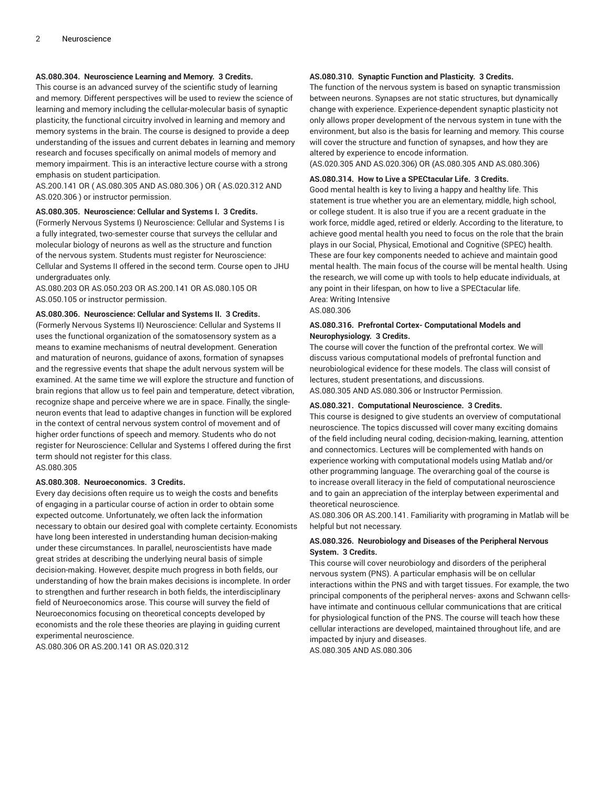# **AS.080.304. Neuroscience Learning and Memory. 3 Credits.**

This course is an advanced survey of the scientific study of learning and memory. Different perspectives will be used to review the science of learning and memory including the cellular-molecular basis of synaptic plasticity, the functional circuitry involved in learning and memory and memory systems in the brain. The course is designed to provide a deep understanding of the issues and current debates in learning and memory research and focuses specifically on animal models of memory and memory impairment. This is an interactive lecture course with a strong emphasis on student participation.

AS.200.141 OR ( AS.080.305 AND AS.080.306 ) OR ( AS.020.312 AND AS.020.306 ) or instructor permission.

#### **AS.080.305. Neuroscience: Cellular and Systems I. 3 Credits.**

(Formerly Nervous Systems I) Neuroscience: Cellular and Systems I is a fully integrated, two-semester course that surveys the cellular and molecular biology of neurons as well as the structure and function of the nervous system. Students must register for Neuroscience: Cellular and Systems II offered in the second term. Course open to JHU undergraduates only.

AS.080.203 OR AS.050.203 OR AS.200.141 OR AS.080.105 OR AS.050.105 or instructor permission.

#### **AS.080.306. Neuroscience: Cellular and Systems II. 3 Credits.**

(Formerly Nervous Systems II) Neuroscience: Cellular and Systems II uses the functional organization of the somatosensory system as a means to examine mechanisms of neutral development. Generation and maturation of neurons, guidance of axons, formation of synapses and the regressive events that shape the adult nervous system will be examined. At the same time we will explore the structure and function of brain regions that allow us to feel pain and temperature, detect vibration, recognize shape and perceive where we are in space. Finally, the singleneuron events that lead to adaptive changes in function will be explored in the context of central nervous system control of movement and of higher order functions of speech and memory. Students who do not register for Neuroscience: Cellular and Systems I offered during the first term should not register for this class. AS.080.305

#### **AS.080.308. Neuroeconomics. 3 Credits.**

Every day decisions often require us to weigh the costs and benefits of engaging in a particular course of action in order to obtain some expected outcome. Unfortunately, we often lack the information necessary to obtain our desired goal with complete certainty. Economists have long been interested in understanding human decision-making under these circumstances. In parallel, neuroscientists have made great strides at describing the underlying neural basis of simple decision-making. However, despite much progress in both fields, our understanding of how the brain makes decisions is incomplete. In order to strengthen and further research in both fields, the interdisciplinary field of Neuroeconomics arose. This course will survey the field of Neuroeconomics focusing on theoretical concepts developed by economists and the role these theories are playing in guiding current experimental neuroscience.

AS.080.306 OR AS.200.141 OR AS.020.312

# **AS.080.310. Synaptic Function and Plasticity. 3 Credits.**

The function of the nervous system is based on synaptic transmission between neurons. Synapses are not static structures, but dynamically change with experience. Experience-dependent synaptic plasticity not only allows proper development of the nervous system in tune with the environment, but also is the basis for learning and memory. This course will cover the structure and function of synapses, and how they are altered by experience to encode information.

(AS.020.305 AND AS.020.306) OR (AS.080.305 AND AS.080.306)

#### **AS.080.314. How to Live a SPECtacular Life. 3 Credits.**

Good mental health is key to living a happy and healthy life. This statement is true whether you are an elementary, middle, high school, or college student. It is also true if you are a recent graduate in the work force, middle aged, retired or elderly. According to the literature, to achieve good mental health you need to focus on the role that the brain plays in our Social, Physical, Emotional and Cognitive (SPEC) health. These are four key components needed to achieve and maintain good mental health. The main focus of the course will be mental health. Using the research, we will come up with tools to help educate individuals, at any point in their lifespan, on how to live a SPECtacular life. Area: Writing Intensive

AS.080.306

# **AS.080.316. Prefrontal Cortex- Computational Models and Neurophysiology. 3 Credits.**

The course will cover the function of the prefrontal cortex. We will discuss various computational models of prefrontal function and neurobiological evidence for these models. The class will consist of lectures, student presentations, and discussions.

AS.080.305 AND AS.080.306 or Instructor Permission.

#### **AS.080.321. Computational Neuroscience. 3 Credits.**

This course is designed to give students an overview of computational neuroscience. The topics discussed will cover many exciting domains of the field including neural coding, decision-making, learning, attention and connectomics. Lectures will be complemented with hands on experience working with computational models using Matlab and/or other programming language. The overarching goal of the course is to increase overall literacy in the field of computational neuroscience and to gain an appreciation of the interplay between experimental and theoretical neuroscience.

AS.080.306 OR AS.200.141. Familiarity with programing in Matlab will be helpful but not necessary.

# **AS.080.326. Neurobiology and Diseases of the Peripheral Nervous System. 3 Credits.**

This course will cover neurobiology and disorders of the peripheral nervous system (PNS). A particular emphasis will be on cellular interactions within the PNS and with target tissues. For example, the two principal components of the peripheral nerves- axons and Schwann cellshave intimate and continuous cellular communications that are critical for physiological function of the PNS. The course will teach how these cellular interactions are developed, maintained throughout life, and are impacted by injury and diseases.

AS.080.305 AND AS.080.306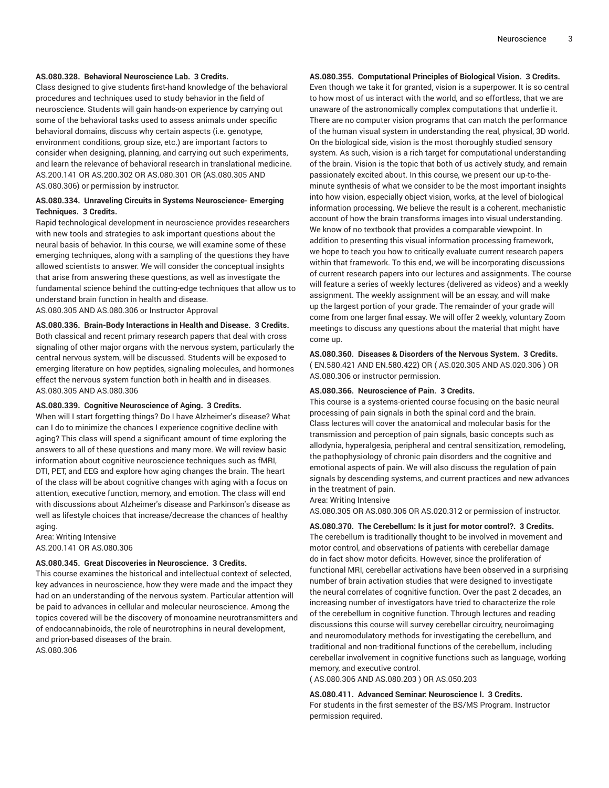#### **AS.080.328. Behavioral Neuroscience Lab. 3 Credits.**

Class designed to give students first-hand knowledge of the behavioral procedures and techniques used to study behavior in the field of neuroscience. Students will gain hands-on experience by carrying out some of the behavioral tasks used to assess animals under specific behavioral domains, discuss why certain aspects (i.e. genotype, environment conditions, group size, etc.) are important factors to consider when designing, planning, and carrying out such experiments, and learn the relevance of behavioral research in translational medicine. AS.200.141 OR AS.200.302 OR AS.080.301 OR (AS.080.305 AND AS.080.306) or permission by instructor.

# **AS.080.334. Unraveling Circuits in Systems Neuroscience- Emerging Techniques. 3 Credits.**

Rapid technological development in neuroscience provides researchers with new tools and strategies to ask important questions about the neural basis of behavior. In this course, we will examine some of these emerging techniques, along with a sampling of the questions they have allowed scientists to answer. We will consider the conceptual insights that arise from answering these questions, as well as investigate the fundamental science behind the cutting-edge techniques that allow us to understand brain function in health and disease. AS.080.305 AND AS.080.306 or Instructor Approval

**AS.080.336. Brain-Body Interactions in Health and Disease. 3 Credits.**

Both classical and recent primary research papers that deal with cross signaling of other major organs with the nervous system, particularly the central nervous system, will be discussed. Students will be exposed to emerging literature on how peptides, signaling molecules, and hormones effect the nervous system function both in health and in diseases. AS.080.305 AND AS.080.306

#### **AS.080.339. Cognitive Neuroscience of Aging. 3 Credits.**

When will I start forgetting things? Do I have Alzheimer's disease? What can I do to minimize the chances I experience cognitive decline with aging? This class will spend a significant amount of time exploring the answers to all of these questions and many more. We will review basic information about cognitive neuroscience techniques such as fMRI, DTI, PET, and EEG and explore how aging changes the brain. The heart of the class will be about cognitive changes with aging with a focus on attention, executive function, memory, and emotion. The class will end with discussions about Alzheimer's disease and Parkinson's disease as well as lifestyle choices that increase/decrease the chances of healthy aging.

Area: Writing Intensive AS.200.141 OR AS.080.306

#### **AS.080.345. Great Discoveries in Neuroscience. 3 Credits.**

This course examines the historical and intellectual context of selected, key advances in neuroscience, how they were made and the impact they had on an understanding of the nervous system. Particular attention will be paid to advances in cellular and molecular neuroscience. Among the topics covered will be the discovery of monoamine neurotransmitters and of endocannabinoids, the role of neurotrophins in neural development, and prion-based diseases of the brain. AS.080.306

# **AS.080.355. Computational Principles of Biological Vision. 3 Credits.**

Even though we take it for granted, vision is a superpower. It is so central to how most of us interact with the world, and so effortless, that we are unaware of the astronomically complex computations that underlie it. There are no computer vision programs that can match the performance of the human visual system in understanding the real, physical, 3D world. On the biological side, vision is the most thoroughly studied sensory system. As such, vision is a rich target for computational understanding of the brain. Vision is the topic that both of us actively study, and remain passionately excited about. In this course, we present our up-to-theminute synthesis of what we consider to be the most important insights into how vision, especially object vision, works, at the level of biological information processing. We believe the result is a coherent, mechanistic account of how the brain transforms images into visual understanding. We know of no textbook that provides a comparable viewpoint. In addition to presenting this visual information processing framework, we hope to teach you how to critically evaluate current research papers within that framework. To this end, we will be incorporating discussions of current research papers into our lectures and assignments. The course will feature a series of weekly lectures (delivered as videos) and a weekly assignment. The weekly assignment will be an essay, and will make up the largest portion of your grade. The remainder of your grade will come from one larger final essay. We will offer 2 weekly, voluntary Zoom meetings to discuss any questions about the material that might have come up.

**AS.080.360. Diseases & Disorders of the Nervous System. 3 Credits.** ( EN.580.421 AND EN.580.422) OR ( AS.020.305 AND AS.020.306 ) OR AS.080.306 or instructor permission.

#### **AS.080.366. Neuroscience of Pain. 3 Credits.**

This course is a systems-oriented course focusing on the basic neural processing of pain signals in both the spinal cord and the brain. Class lectures will cover the anatomical and molecular basis for the transmission and perception of pain signals, basic concepts such as allodynia, hyperalgesia, peripheral and central sensitization, remodeling, the pathophysiology of chronic pain disorders and the cognitive and emotional aspects of pain. We will also discuss the regulation of pain signals by descending systems, and current practices and new advances in the treatment of pain.

#### Area: Writing Intensive

AS.080.305 OR AS.080.306 OR AS.020.312 or permission of instructor.

**AS.080.370. The Cerebellum: Is it just for motor control?. 3 Credits.** The cerebellum is traditionally thought to be involved in movement and motor control, and observations of patients with cerebellar damage do in fact show motor deficits. However, since the proliferation of functional MRI, cerebellar activations have been observed in a surprising number of brain activation studies that were designed to investigate the neural correlates of cognitive function. Over the past 2 decades, an increasing number of investigators have tried to characterize the role of the cerebellum in cognitive function. Through lectures and reading discussions this course will survey cerebellar circuitry, neuroimaging and neuromodulatory methods for investigating the cerebellum, and traditional and non-traditional functions of the cerebellum, including cerebellar involvement in cognitive functions such as language, working memory, and executive control.

( AS.080.306 AND AS.080.203 ) OR AS.050.203

#### **AS.080.411. Advanced Seminar: Neuroscience I. 3 Credits.**

For students in the first semester of the BS/MS Program. Instructor permission required.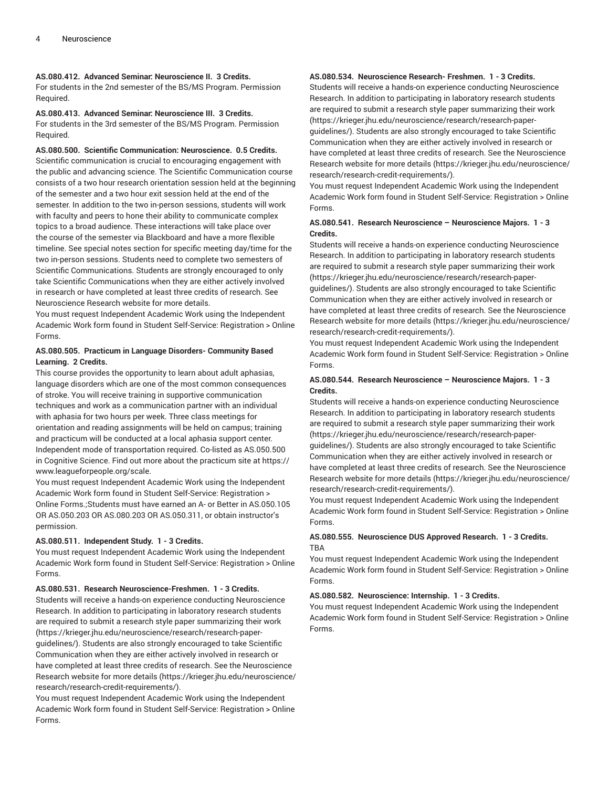# **AS.080.412. Advanced Seminar: Neuroscience II. 3 Credits.**

For students in the 2nd semester of the BS/MS Program. Permission Required.

# **AS.080.413. Advanced Seminar: Neuroscience III. 3 Credits.**

For students in the 3rd semester of the BS/MS Program. Permission Required.

# **AS.080.500. Scientific Communication: Neuroscience. 0.5 Credits.**

Scientific communication is crucial to encouraging engagement with the public and advancing science. The Scientific Communication course consists of a two hour research orientation session held at the beginning of the semester and a two hour exit session held at the end of the semester. In addition to the two in-person sessions, students will work with faculty and peers to hone their ability to communicate complex topics to a broad audience. These interactions will take place over the course of the semester via Blackboard and have a more flexible timeline. See special notes section for specific meeting day/time for the two in-person sessions. Students need to complete two semesters of Scientific Communications. Students are strongly encouraged to only take Scientific Communications when they are either actively involved in research or have completed at least three credits of research. See Neuroscience Research website for more details.

You must request Independent Academic Work using the Independent Academic Work form found in Student Self-Service: Registration > Online Forms.

# **AS.080.505. Practicum in Language Disorders- Community Based Learning. 2 Credits.**

This course provides the opportunity to learn about adult aphasias, language disorders which are one of the most common consequences of stroke. You will receive training in supportive communication techniques and work as a communication partner with an individual with aphasia for two hours per week. Three class meetings for orientation and reading assignments will be held on campus; training and practicum will be conducted at a local aphasia support center. Independent mode of transportation required. Co-listed as AS.050.500 in Cognitive Science. Find out more about the practicum site at https:// www.leagueforpeople.org/scale.

You must request Independent Academic Work using the Independent Academic Work form found in Student Self-Service: Registration > Online Forms.;Students must have earned an A- or Better in AS.050.105 OR AS.050.203 OR AS.080.203 OR AS.050.311, or obtain instructor's permission.

# **AS.080.511. Independent Study. 1 - 3 Credits.**

You must request Independent Academic Work using the Independent Academic Work form found in Student Self-Service: Registration > Online Forms.

# **AS.080.531. Research Neuroscience-Freshmen. 1 - 3 Credits.**

Students will receive a hands-on experience conducting Neuroscience Research. In addition to participating in laboratory research students are required to submit a research style paper summarizing their work (https://krieger.jhu.edu/neuroscience/research/research-paperguidelines/). Students are also strongly encouraged to take Scientific Communication when they are either actively involved in research or have completed at least three credits of research. See the Neuroscience Research website for more details (https://krieger.jhu.edu/neuroscience/ research/research-credit-requirements/).

You must request Independent Academic Work using the Independent Academic Work form found in Student Self-Service: Registration > Online Forms.

# **AS.080.534. Neuroscience Research- Freshmen. 1 - 3 Credits.**

Students will receive a hands-on experience conducting Neuroscience Research. In addition to participating in laboratory research students are required to submit a research style paper summarizing their work (https://krieger.jhu.edu/neuroscience/research/research-paperguidelines/). Students are also strongly encouraged to take Scientific Communication when they are either actively involved in research or have completed at least three credits of research. See the Neuroscience Research website for more details (https://krieger.jhu.edu/neuroscience/

research/research-credit-requirements/). You must request Independent Academic Work using the Independent Academic Work form found in Student Self-Service: Registration > Online Forms.

# **AS.080.541. Research Neuroscience – Neuroscience Majors. 1 - 3 Credits.**

Students will receive a hands-on experience conducting Neuroscience Research. In addition to participating in laboratory research students are required to submit a research style paper summarizing their work (https://krieger.jhu.edu/neuroscience/research/research-paperguidelines/). Students are also strongly encouraged to take Scientific Communication when they are either actively involved in research or have completed at least three credits of research. See the Neuroscience Research website for more details (https://krieger.jhu.edu/neuroscience/ research/research-credit-requirements/).

You must request Independent Academic Work using the Independent Academic Work form found in Student Self-Service: Registration > Online Forms.

# **AS.080.544. Research Neuroscience – Neuroscience Majors. 1 - 3 Credits.**

Students will receive a hands-on experience conducting Neuroscience Research. In addition to participating in laboratory research students are required to submit a research style paper summarizing their work (https://krieger.jhu.edu/neuroscience/research/research-paperguidelines/). Students are also strongly encouraged to take Scientific Communication when they are either actively involved in research or have completed at least three credits of research. See the Neuroscience Research website for more details (https://krieger.jhu.edu/neuroscience/ research/research-credit-requirements/).

You must request Independent Academic Work using the Independent Academic Work form found in Student Self-Service: Registration > Online Forms.

# **AS.080.555. Neuroscience DUS Approved Research. 1 - 3 Credits.** TBA

You must request Independent Academic Work using the Independent Academic Work form found in Student Self-Service: Registration > Online Forms.

#### **AS.080.582. Neuroscience: Internship. 1 - 3 Credits.**

You must request Independent Academic Work using the Independent Academic Work form found in Student Self-Service: Registration > Online Forms.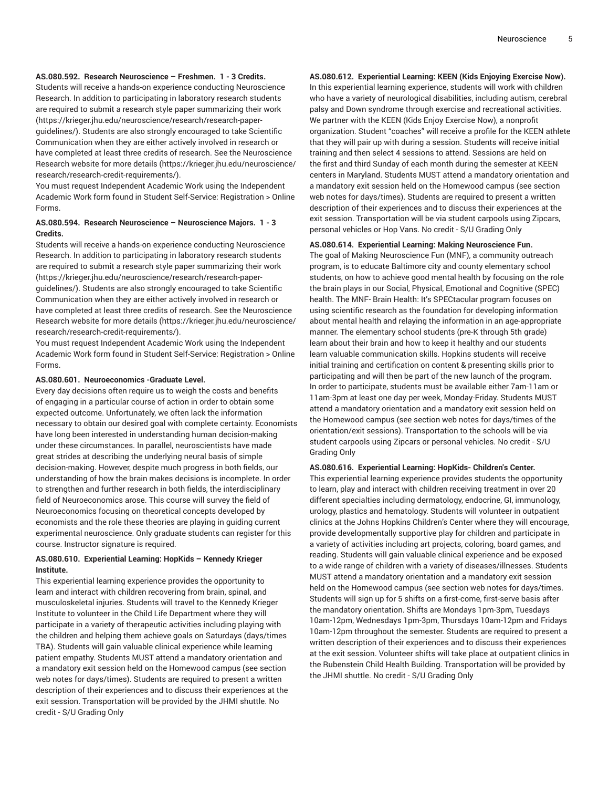# **AS.080.592. Research Neuroscience – Freshmen. 1 - 3 Credits.**

Students will receive a hands-on experience conducting Neuroscience Research. In addition to participating in laboratory research students are required to submit a research style paper summarizing their work (https://krieger.jhu.edu/neuroscience/research/research-paperguidelines/). Students are also strongly encouraged to take Scientific Communication when they are either actively involved in research or have completed at least three credits of research. See the Neuroscience Research website for more details (https://krieger.jhu.edu/neuroscience/ research/research-credit-requirements/).

You must request Independent Academic Work using the Independent Academic Work form found in Student Self-Service: Registration > Online Forms.

# **AS.080.594. Research Neuroscience – Neuroscience Majors. 1 - 3 Credits.**

Students will receive a hands-on experience conducting Neuroscience Research. In addition to participating in laboratory research students are required to submit a research style paper summarizing their work (https://krieger.jhu.edu/neuroscience/research/research-paperguidelines/). Students are also strongly encouraged to take Scientific Communication when they are either actively involved in research or have completed at least three credits of research. See the Neuroscience Research website for more details (https://krieger.jhu.edu/neuroscience/ research/research-credit-requirements/).

You must request Independent Academic Work using the Independent Academic Work form found in Student Self-Service: Registration > Online Forms.

#### **AS.080.601. Neuroeconomics -Graduate Level.**

Every day decisions often require us to weigh the costs and benefits of engaging in a particular course of action in order to obtain some expected outcome. Unfortunately, we often lack the information necessary to obtain our desired goal with complete certainty. Economists have long been interested in understanding human decision-making under these circumstances. In parallel, neuroscientists have made great strides at describing the underlying neural basis of simple decision-making. However, despite much progress in both fields, our understanding of how the brain makes decisions is incomplete. In order to strengthen and further research in both fields, the interdisciplinary field of Neuroeconomics arose. This course will survey the field of Neuroeconomics focusing on theoretical concepts developed by economists and the role these theories are playing in guiding current experimental neuroscience. Only graduate students can register for this course. Instructor signature is required.

# **AS.080.610. Experiential Learning: HopKids – Kennedy Krieger Institute.**

This experiential learning experience provides the opportunity to learn and interact with children recovering from brain, spinal, and musculoskeletal injuries. Students will travel to the Kennedy Krieger Institute to volunteer in the Child Life Department where they will participate in a variety of therapeutic activities including playing with the children and helping them achieve goals on Saturdays (days/times TBA). Students will gain valuable clinical experience while learning patient empathy. Students MUST attend a mandatory orientation and a mandatory exit session held on the Homewood campus (see section web notes for days/times). Students are required to present a written description of their experiences and to discuss their experiences at the exit session. Transportation will be provided by the JHMI shuttle. No credit - S/U Grading Only

# **AS.080.612. Experiential Learning: KEEN (Kids Enjoying Exercise Now).**

In this experiential learning experience, students will work with children who have a variety of neurological disabilities, including autism, cerebral palsy and Down syndrome through exercise and recreational activities. We partner with the KEEN (Kids Enjoy Exercise Now), a nonprofit organization. Student "coaches" will receive a profile for the KEEN athlete that they will pair up with during a session. Students will receive initial training and then select 4 sessions to attend. Sessions are held on the first and third Sunday of each month during the semester at KEEN centers in Maryland. Students MUST attend a mandatory orientation and a mandatory exit session held on the Homewood campus (see section web notes for days/times). Students are required to present a written description of their experiences and to discuss their experiences at the exit session. Transportation will be via student carpools using Zipcars, personal vehicles or Hop Vans. No credit - S/U Grading Only

# **AS.080.614. Experiential Learning: Making Neuroscience Fun.** The goal of Making Neuroscience Fun (MNF), a community outreach program, is to educate Baltimore city and county elementary school students, on how to achieve good mental health by focusing on the role the brain plays in our Social, Physical, Emotional and Cognitive (SPEC) health. The MNF- Brain Health: It's SPECtacular program focuses on using scientific research as the foundation for developing information about mental health and relaying the information in an age-appropriate manner. The elementary school students (pre-K through 5th grade) learn about their brain and how to keep it healthy and our students learn valuable communication skills. Hopkins students will receive initial training and certification on content & presenting skills prior to participating and will then be part of the new launch of the program. In order to participate, students must be available either 7am-11am or 11am-3pm at least one day per week, Monday-Friday. Students MUST attend a mandatory orientation and a mandatory exit session held on the Homewood campus (see section web notes for days/times of the orientation/exit sessions). Transportation to the schools will be via student carpools using Zipcars or personal vehicles. No credit - S/U Grading Only

#### **AS.080.616. Experiential Learning: HopKids- Children's Center.**

This experiential learning experience provides students the opportunity to learn, play and interact with children receiving treatment in over 20 different specialties including dermatology, endocrine, GI, immunology, urology, plastics and hematology. Students will volunteer in outpatient clinics at the Johns Hopkins Children's Center where they will encourage, provide developmentally supportive play for children and participate in a variety of activities including art projects, coloring, board games, and reading. Students will gain valuable clinical experience and be exposed to a wide range of children with a variety of diseases/illnesses. Students MUST attend a mandatory orientation and a mandatory exit session held on the Homewood campus (see section web notes for days/times. Students will sign up for 5 shifts on a first-come, first-serve basis after the mandatory orientation. Shifts are Mondays 1pm-3pm, Tuesdays 10am-12pm, Wednesdays 1pm-3pm, Thursdays 10am-12pm and Fridays 10am-12pm throughout the semester. Students are required to present a written description of their experiences and to discuss their experiences at the exit session. Volunteer shifts will take place at outpatient clinics in the Rubenstein Child Health Building. Transportation will be provided by the JHMI shuttle. No credit - S/U Grading Only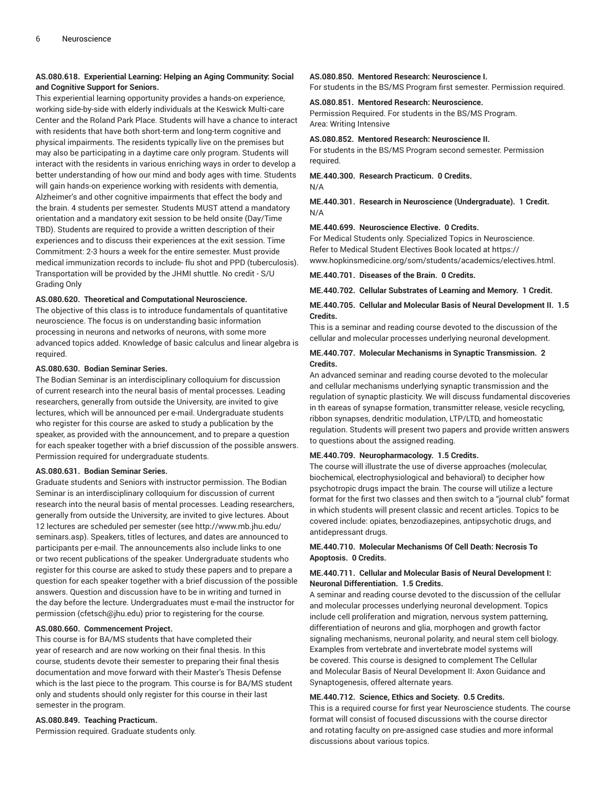# **AS.080.618. Experiential Learning: Helping an Aging Community: Social and Cognitive Support for Seniors.**

This experiential learning opportunity provides a hands-on experience, working side-by-side with elderly individuals at the Keswick Multi-care Center and the Roland Park Place. Students will have a chance to interact with residents that have both short-term and long-term cognitive and physical impairments. The residents typically live on the premises but may also be participating in a daytime care only program. Students will interact with the residents in various enriching ways in order to develop a better understanding of how our mind and body ages with time. Students will gain hands-on experience working with residents with dementia, Alzheimer's and other cognitive impairments that effect the body and the brain. 4 students per semester. Students MUST attend a mandatory orientation and a mandatory exit session to be held onsite (Day/Time TBD). Students are required to provide a written description of their experiences and to discuss their experiences at the exit session. Time Commitment: 2-3 hours a week for the entire semester. Must provide medical immunization records to include- flu shot and PPD (tuberculosis). Transportation will be provided by the JHMI shuttle. No credit - S/U Grading Only

#### **AS.080.620. Theoretical and Computational Neuroscience.**

The objective of this class is to introduce fundamentals of quantitative neuroscience. The focus is on understanding basic information processing in neurons and networks of neurons, with some more advanced topics added. Knowledge of basic calculus and linear algebra is required.

# **AS.080.630. Bodian Seminar Series.**

The Bodian Seminar is an interdisciplinary colloquium for discussion of current research into the neural basis of mental processes. Leading researchers, generally from outside the University, are invited to give lectures, which will be announced per e-mail. Undergraduate students who register for this course are asked to study a publication by the speaker, as provided with the announcement, and to prepare a question for each speaker together with a brief discussion of the possible answers. Permission required for undergraduate students.

#### **AS.080.631. Bodian Seminar Series.**

Graduate students and Seniors with instructor permission. The Bodian Seminar is an interdisciplinary colloquium for discussion of current research into the neural basis of mental processes. Leading researchers, generally from outside the University, are invited to give lectures. About 12 lectures are scheduled per semester (see http://www.mb.jhu.edu/ seminars.asp). Speakers, titles of lectures, and dates are announced to participants per e-mail. The announcements also include links to one or two recent publications of the speaker. Undergraduate students who register for this course are asked to study these papers and to prepare a question for each speaker together with a brief discussion of the possible answers. Question and discussion have to be in writing and turned in the day before the lecture. Undergraduates must e-mail the instructor for permission (cfetsch@jhu.edu) prior to registering for the course.

# **AS.080.660. Commencement Project.**

This course is for BA/MS students that have completed their year of research and are now working on their final thesis. In this course, students devote their semester to preparing their final thesis documentation and move forward with their Master's Thesis Defense which is the last piece to the program. This course is for BA/MS student only and students should only register for this course in their last semester in the program.

# **AS.080.849. Teaching Practicum.**

Permission required. Graduate students only.

#### **AS.080.850. Mentored Research: Neuroscience I.**

For students in the BS/MS Program first semester. Permission required.

#### **AS.080.851. Mentored Research: Neuroscience.**

Permission Required. For students in the BS/MS Program. Area: Writing Intensive

#### **AS.080.852. Mentored Research: Neuroscience II.**

For students in the BS/MS Program second semester. Permission required.

#### **ME.440.300. Research Practicum. 0 Credits.** N/A

**ME.440.301. Research in Neuroscience (Undergraduate). 1 Credit.** N/A

#### **ME.440.699. Neuroscience Elective. 0 Credits.**

For Medical Students only. Specialized Topics in Neuroscience. Refer to Medical Student Electives Book located at https:// www.hopkinsmedicine.org/som/students/academics/electives.html.

**ME.440.701. Diseases of the Brain. 0 Credits.**

**ME.440.702. Cellular Substrates of Learning and Memory. 1 Credit.**

# **ME.440.705. Cellular and Molecular Basis of Neural Development II. 1.5 Credits.**

This is a seminar and reading course devoted to the discussion of the cellular and molecular processes underlying neuronal development.

# **ME.440.707. Molecular Mechanisms in Synaptic Transmission. 2 Credits.**

An advanced seminar and reading course devoted to the molecular and cellular mechanisms underlying synaptic transmission and the regulation of synaptic plasticity. We will discuss fundamental discoveries in th eareas of synapse formation, transmitter release, vesicle recycling, ribbon synapses, dendritic modulation, LTP/LTD, and homeostatic regulation. Students will present two papers and provide written answers to questions about the assigned reading.

#### **ME.440.709. Neuropharmacology. 1.5 Credits.**

The course will illustrate the use of diverse approaches (molecular, biochemical, electrophysiological and behavioral) to decipher how psychotropic drugs impact the brain. The course will utilize a lecture format for the first two classes and then switch to a "journal club" format in which students will present classic and recent articles. Topics to be covered include: opiates, benzodiazepines, antipsychotic drugs, and antidepressant drugs.

# **ME.440.710. Molecular Mechanisms Of Cell Death: Necrosis To Apoptosis. 0 Credits.**

# **ME.440.711. Cellular and Molecular Basis of Neural Development I: Neuronal Differentiation. 1.5 Credits.**

A seminar and reading course devoted to the discussion of the cellular and molecular processes underlying neuronal development. Topics include cell proliferation and migration, nervous system patterning, differentiation of neurons and glia, morphogen and growth factor signaling mechanisms, neuronal polarity, and neural stem cell biology. Examples from vertebrate and invertebrate model systems will be covered. This course is designed to complement The Cellular and Molecular Basis of Neural Development II: Axon Guidance and Synaptogenesis, offered alternate years.

# **ME.440.712. Science, Ethics and Society. 0.5 Credits.**

This is a required course for first year Neuroscience students. The course format will consist of focused discussions with the course director and rotating faculty on pre-assigned case studies and more informal discussions about various topics.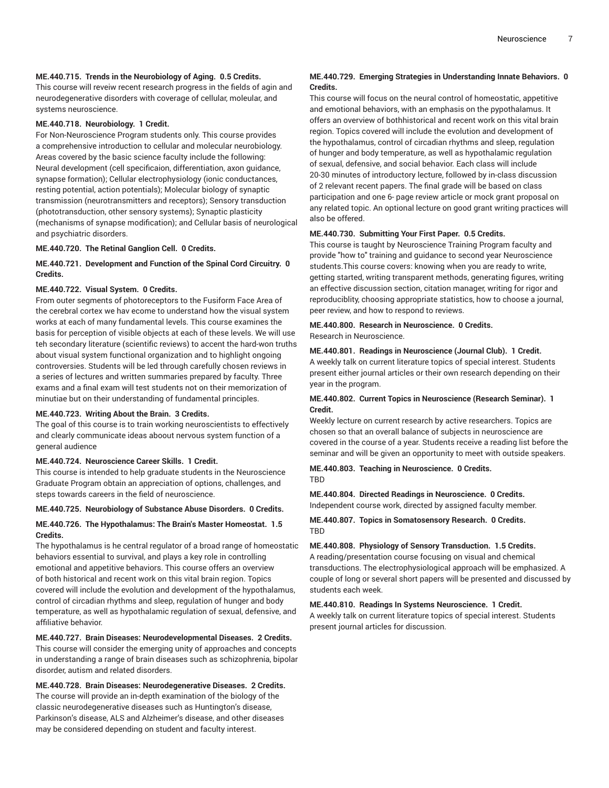#### **ME.440.715. Trends in the Neurobiology of Aging. 0.5 Credits.**

This course will reveiw recent research progress in the fields of agin and neurodegenerative disorders with coverage of cellular, moleular, and systems neuroscience.

#### **ME.440.718. Neurobiology. 1 Credit.**

For Non-Neuroscience Program students only. This course provides a comprehensive introduction to cellular and molecular neurobiology. Areas covered by the basic science faculty include the following: Neural development (cell specificaion, differentiation, axon guidance, synapse formation); Cellular electrophysiology (ionic conductances, resting potential, action potentials); Molecular biology of synaptic transmission (neurotransmitters and receptors); Sensory transduction (phototransduction, other sensory systems); Synaptic plasticity (mechanisms of synapse modification); and Cellular basis of neurological and psychiatric disorders.

#### **ME.440.720. The Retinal Ganglion Cell. 0 Credits.**

# **ME.440.721. Development and Function of the Spinal Cord Circuitry. 0 Credits.**

# **ME.440.722. Visual System. 0 Credits.**

From outer segments of photoreceptors to the Fusiform Face Area of the cerebral cortex we hav ecome to understand how the visual system works at each of many fundamental levels. This course examines the basis for perception of visible objects at each of these levels. We will use teh secondary literature (scientific reviews) to accent the hard-won truths about visual system functional organization and to highlight ongoing controversies. Students will be led through carefully chosen reviews in a series of lectures and written summaries prepared by faculty. Three exams and a final exam will test students not on their memorization of minutiae but on their understanding of fundamental principles.

#### **ME.440.723. Writing About the Brain. 3 Credits.**

The goal of this course is to train working neuroscientists to effectively and clearly communicate ideas aboout nervous system function of a general audience

#### **ME.440.724. Neuroscience Career Skills. 1 Credit.**

This course is intended to help graduate students in the Neuroscience Graduate Program obtain an appreciation of options, challenges, and steps towards careers in the field of neuroscience.

#### **ME.440.725. Neurobiology of Substance Abuse Disorders. 0 Credits.**

# **ME.440.726. The Hypothalamus: The Brain's Master Homeostat. 1.5 Credits.**

The hypothalamus is he central regulator of a broad range of homeostatic behaviors essential to survival, and plays a key role in controlling emotional and appetitive behaviors. This course offers an overview of both historical and recent work on this vital brain region. Topics covered will include the evolution and development of the hypothalamus, control of circadian rhythms and sleep, regulation of hunger and body temperature, as well as hypothalamic regulation of sexual, defensive, and affiliative behavior.

#### **ME.440.727. Brain Diseases: Neurodevelopmental Diseases. 2 Credits.**

This course will consider the emerging unity of approaches and concepts in understanding a range of brain diseases such as schizophrenia, bipolar disorder, autism and related disorders.

# **ME.440.728. Brain Diseases: Neurodegenerative Diseases. 2 Credits.**

The course will provide an in-depth examination of the biology of the classic neurodegenerative diseases such as Huntington's disease, Parkinson's disease, ALS and Alzheimer's disease, and other diseases may be considered depending on student and faculty interest.

# **ME.440.729. Emerging Strategies in Understanding Innate Behaviors. 0 Credits.**

This course will focus on the neural control of homeostatic, appetitive and emotional behaviors, with an emphasis on the pypothalamus. It offers an overview of bothhistorical and recent work on this vital brain region. Topics covered will include the evolution and development of the hypothalamus, control of circadian rhythms and sleep, regulation of hunger and body temperature, as well as hypothalamic regulation of sexual, defensive, and social behavior. Each class will include 20-30 minutes of introductory lecture, followed by in-class discussion of 2 relevant recent papers. The final grade will be based on class participation and one 6- page review article or mock grant proposal on any related topic. An optional lecture on good grant writing practices will also be offered.

# **ME.440.730. Submitting Your First Paper. 0.5 Credits.**

This course is taught by Neuroscience Training Program faculty and provide "how to" training and guidance to second year Neuroscience students.This course covers: knowing when you are ready to write, getting started, writing transparent methods, generating figures, writing an effective discussion section, citation manager, writing for rigor and reproduciblity, choosing appropriate statistics, how to choose a journal, peer review, and how to respond to reviews.

#### **ME.440.800. Research in Neuroscience. 0 Credits.** Research in Neuroscience.

#### **ME.440.801. Readings in Neuroscience (Journal Club). 1 Credit.**

A weekly talk on current literature topics of special interest. Students present either journal articles or their own research depending on their year in the program.

# **ME.440.802. Current Topics in Neuroscience (Research Seminar). 1 Credit.**

Weekly lecture on current research by active researchers. Topics are chosen so that an overall balance of subjects in neuroscience are covered in the course of a year. Students receive a reading list before the seminar and will be given an opportunity to meet with outside speakers.

#### **ME.440.803. Teaching in Neuroscience. 0 Credits.** TBD

**ME.440.804. Directed Readings in Neuroscience. 0 Credits.** Independent course work, directed by assigned faculty member.

**ME.440.807. Topics in Somatosensory Research. 0 Credits.** TBD

**ME.440.808. Physiology of Sensory Transduction. 1.5 Credits.** A reading/presentation course focusing on visual and chemical transductions. The electrophysiological approach will be emphasized. A couple of long or several short papers will be presented and discussed by students each week.

# **ME.440.810. Readings In Systems Neuroscience. 1 Credit.**

A weekly talk on current literature topics of special interest. Students present journal articles for discussion.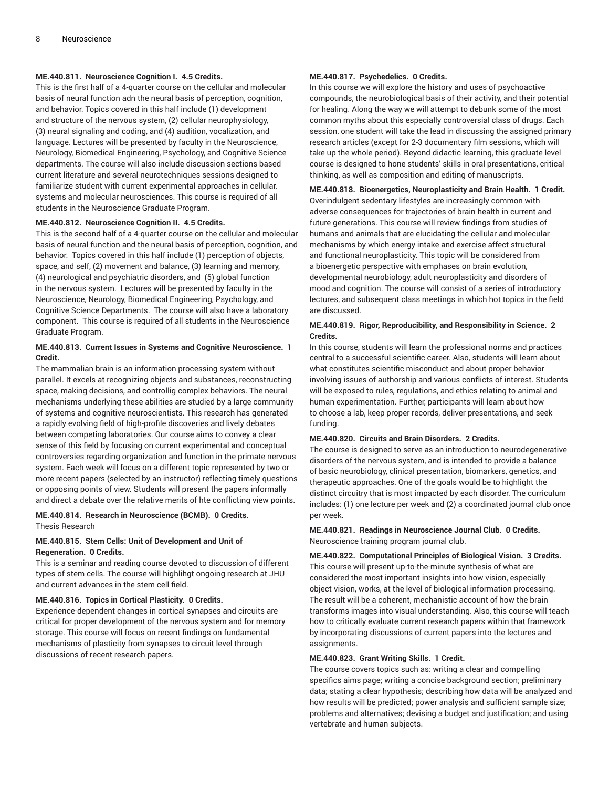# **ME.440.811. Neuroscience Cognition I. 4.5 Credits.**

This is the first half of a 4-quarter course on the cellular and molecular basis of neural function adn the neural basis of perception, cognition, and behavior. Topics covered in this half include (1) development and structure of the nervous system, (2) cellular neurophysiology, (3) neural signaling and coding, and (4) audition, vocalization, and language. Lectures will be presented by faculty in the Neuroscience, Neurology, Biomedical Engineering, Psychology, and Cognitive Science departments. The course will also include discussion sections based current literature and several neurotechniques sessions designed to familiarize student with current experimental approaches in cellular, systems and molecular neurosciences. This course is required of all students in the Neuroscience Graduate Program.

#### **ME.440.812. Neuroscience Cognition II. 4.5 Credits.**

This is the second half of a 4-quarter course on the cellular and molecular basis of neural function and the neural basis of perception, cognition, and behavior. Topics covered in this half include (1) perception of objects, space, and self, (2) movement and balance, (3) learning and memory, (4) neurological and psychiatric disorders, and (5) global function in the nervous system. Lectures will be presented by faculty in the Neuroscience, Neurology, Biomedical Engineering, Psychology, and Cognitive Science Departments. The course will also have a laboratory component. This course is required of all students in the Neuroscience Graduate Program.

# **ME.440.813. Current Issues in Systems and Cognitive Neuroscience. 1 Credit.**

The mammalian brain is an information processing system without parallel. It excels at recognizing objects and substances, reconstructing space, making decisions, and controllig complex behaviors. The neural mechanisms underlying these abilities are studied by a large community of systems and cognitive neuroscientists. This research has generated a rapidly evolving field of high-profile discoveries and lively debates between competing laboratories. Our course aims to convey a clear sense of this field by focusing on current experimental and conceptual controversies regarding organization and function in the primate nervous system. Each week will focus on a different topic represented by two or more recent papers (selected by an instructor) reflecting timely questions or opposing points of view. Students will present the papers informally and direct a debate over the relative merits of hte conflicting view points.

# **ME.440.814. Research in Neuroscience (BCMB). 0 Credits.** Thesis Research

# **ME.440.815. Stem Cells: Unit of Development and Unit of Regeneration. 0 Credits.**

This is a seminar and reading course devoted to discussion of different types of stem cells. The course will highlihgt ongoing research at JHU and current advances in the stem cell field.

#### **ME.440.816. Topics in Cortical Plasticity. 0 Credits.**

Experience-dependent changes in cortical synapses and circuits are critical for proper development of the nervous system and for memory storage. This course will focus on recent findings on fundamental mechanisms of plasticity from synapses to circuit level through discussions of recent research papers.

# **ME.440.817. Psychedelics. 0 Credits.**

In this course we will explore the history and uses of psychoactive compounds, the neurobiological basis of their activity, and their potential for healing. Along the way we will attempt to debunk some of the most common myths about this especially controversial class of drugs. Each session, one student will take the lead in discussing the assigned primary research articles (except for 2-3 documentary film sessions, which will take up the whole period). Beyond didactic learning, this graduate level course is designed to hone students' skills in oral presentations, critical thinking, as well as composition and editing of manuscripts.

# **ME.440.818. Bioenergetics, Neuroplasticity and Brain Health. 1 Credit.**

Overindulgent sedentary lifestyles are increasingly common with adverse consequences for trajectories of brain health in current and future generations. This course will review findings from studies of humans and animals that are elucidating the cellular and molecular mechanisms by which energy intake and exercise affect structural and functional neuroplasticity. This topic will be considered from a bioenergetic perspective with emphases on brain evolution, developmental neurobiology, adult neuroplasticity and disorders of mood and cognition. The course will consist of a series of introductory lectures, and subsequent class meetings in which hot topics in the field are discussed.

# **ME.440.819. Rigor, Reproducibility, and Responsibility in Science. 2 Credits.**

In this course, students will learn the professional norms and practices central to a successful scientific career. Also, students will learn about what constitutes scientific misconduct and about proper behavior involving issues of authorship and various conflicts of interest. Students will be exposed to rules, regulations, and ethics relating to animal and human experimentation. Further, participants will learn about how to choose a lab, keep proper records, deliver presentations, and seek funding.

# **ME.440.820. Circuits and Brain Disorders. 2 Credits.**

The course is designed to serve as an introduction to neurodegenerative disorders of the nervous system, and is intended to provide a balance of basic neurobiology, clinical presentation, biomarkers, genetics, and therapeutic approaches. One of the goals would be to highlight the distinct circuitry that is most impacted by each disorder. The curriculum includes: (1) one lecture per week and (2) a coordinated journal club once per week.

**ME.440.821. Readings in Neuroscience Journal Club. 0 Credits.** Neuroscience training program journal club.

**ME.440.822. Computational Principles of Biological Vision. 3 Credits.** This course will present up-to-the-minute synthesis of what are considered the most important insights into how vision, especially object vision, works, at the level of biological information processing. The result will be a coherent, mechanistic account of how the brain transforms images into visual understanding. Also, this course will teach how to critically evaluate current research papers within that framework by incorporating discussions of current papers into the lectures and assignments.

#### **ME.440.823. Grant Writing Skills. 1 Credit.**

The course covers topics such as: writing a clear and compelling specifics aims page; writing a concise background section; preliminary data; stating a clear hypothesis; describing how data will be analyzed and how results will be predicted; power analysis and sufficient sample size; problems and alternatives; devising a budget and justification; and using vertebrate and human subjects.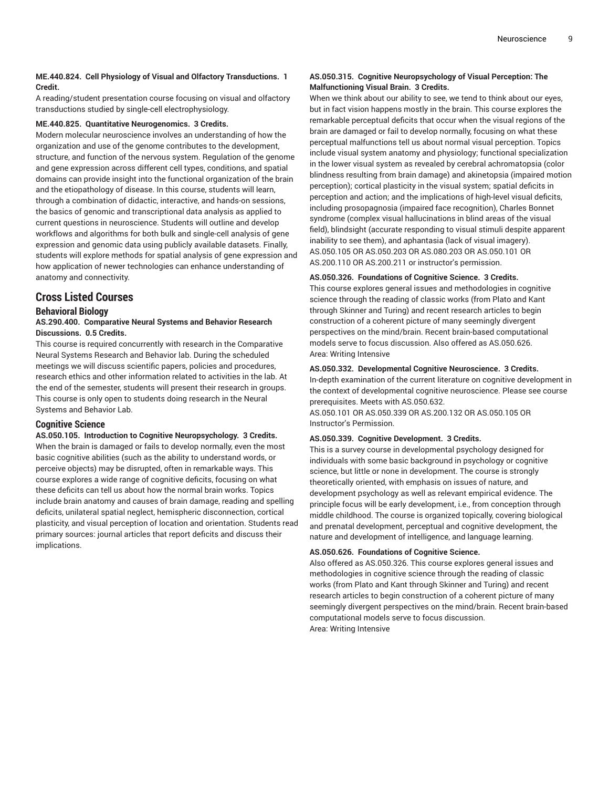# **ME.440.824. Cell Physiology of Visual and Olfactory Transductions. 1 Credit.**

A reading/student presentation course focusing on visual and olfactory transductions studied by single-cell electrophysiology.

# **ME.440.825. Quantitative Neurogenomics. 3 Credits.**

Modern molecular neuroscience involves an understanding of how the organization and use of the genome contributes to the development, structure, and function of the nervous system. Regulation of the genome and gene expression across different cell types, conditions, and spatial domains can provide insight into the functional organization of the brain and the etiopathology of disease. In this course, students will learn, through a combination of didactic, interactive, and hands-on sessions, the basics of genomic and transcriptional data analysis as applied to current questions in neuroscience. Students will outline and develop workflows and algorithms for both bulk and single-cell analysis of gene expression and genomic data using publicly available datasets. Finally, students will explore methods for spatial analysis of gene expression and how application of newer technologies can enhance understanding of anatomy and connectivity.

# **Cross Listed Courses**

# **Behavioral Biology**

**AS.290.400. Comparative Neural Systems and Behavior Research Discussions. 0.5 Credits.**

This course is required concurrently with research in the Comparative Neural Systems Research and Behavior lab. During the scheduled meetings we will discuss scientific papers, policies and procedures, research ethics and other information related to activities in the lab. At the end of the semester, students will present their research in groups. This course is only open to students doing research in the Neural Systems and Behavior Lab.

# **Cognitive Science**

**AS.050.105. Introduction to Cognitive Neuropsychology. 3 Credits.** When the brain is damaged or fails to develop normally, even the most basic cognitive abilities (such as the ability to understand words, or perceive objects) may be disrupted, often in remarkable ways. This course explores a wide range of cognitive deficits, focusing on what these deficits can tell us about how the normal brain works. Topics include brain anatomy and causes of brain damage, reading and spelling deficits, unilateral spatial neglect, hemispheric disconnection, cortical plasticity, and visual perception of location and orientation. Students read primary sources: journal articles that report deficits and discuss their implications.

# **AS.050.315. Cognitive Neuropsychology of Visual Perception: The Malfunctioning Visual Brain. 3 Credits.**

When we think about our ability to see, we tend to think about our eyes, but in fact vision happens mostly in the brain. This course explores the remarkable perceptual deficits that occur when the visual regions of the brain are damaged or fail to develop normally, focusing on what these perceptual malfunctions tell us about normal visual perception. Topics include visual system anatomy and physiology; functional specialization in the lower visual system as revealed by cerebral achromatopsia (color blindness resulting from brain damage) and akinetopsia (impaired motion perception); cortical plasticity in the visual system; spatial deficits in perception and action; and the implications of high-level visual deficits, including prosopagnosia (impaired face recognition), Charles Bonnet syndrome (complex visual hallucinations in blind areas of the visual field), blindsight (accurate responding to visual stimuli despite apparent inability to see them), and aphantasia (lack of visual imagery). AS.050.105 OR AS.050.203 OR AS.080.203 OR AS.050.101 OR AS.200.110 OR AS.200.211 or instructor's permission.

# **AS.050.326. Foundations of Cognitive Science. 3 Credits.**

This course explores general issues and methodologies in cognitive science through the reading of classic works (from Plato and Kant through Skinner and Turing) and recent research articles to begin construction of a coherent picture of many seemingly divergent perspectives on the mind/brain. Recent brain-based computational models serve to focus discussion. Also offered as AS.050.626. Area: Writing Intensive

# **AS.050.332. Developmental Cognitive Neuroscience. 3 Credits.**

In-depth examination of the current literature on cognitive development in the context of developmental cognitive neuroscience. Please see course prerequisites. Meets with AS.050.632.

AS.050.101 OR AS.050.339 OR AS.200.132 OR AS.050.105 OR Instructor's Permission.

# **AS.050.339. Cognitive Development. 3 Credits.**

This is a survey course in developmental psychology designed for individuals with some basic background in psychology or cognitive science, but little or none in development. The course is strongly theoretically oriented, with emphasis on issues of nature, and development psychology as well as relevant empirical evidence. The principle focus will be early development, i.e., from conception through middle childhood. The course is organized topically, covering biological and prenatal development, perceptual and cognitive development, the nature and development of intelligence, and language learning.

# **AS.050.626. Foundations of Cognitive Science.**

Also offered as AS.050.326. This course explores general issues and methodologies in cognitive science through the reading of classic works (from Plato and Kant through Skinner and Turing) and recent research articles to begin construction of a coherent picture of many seemingly divergent perspectives on the mind/brain. Recent brain-based computational models serve to focus discussion. Area: Writing Intensive